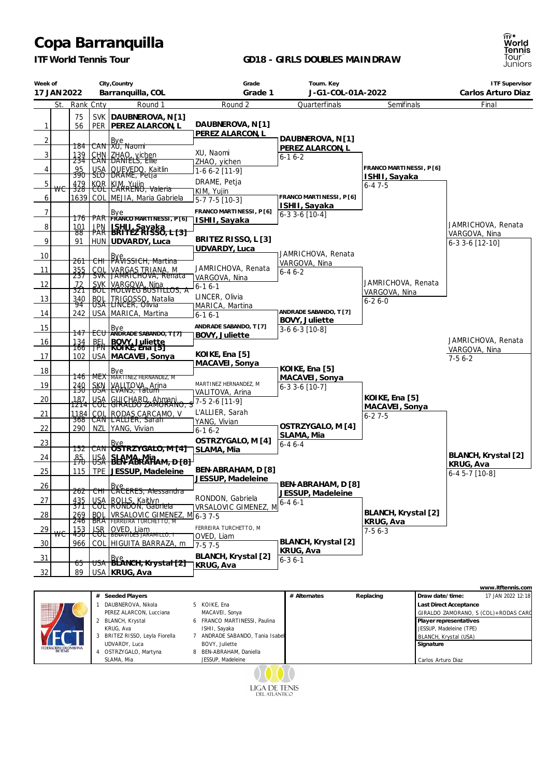## **Copa Barranquilla**

*ITF World Tennis Tour*

## **GD18 - GIRLS DOUBLES MAINDRAW**

ानि<sup>≉</sup><br>World<br>Tennis<br>Tour<br>Juniors

| Week of<br>17 JAN 2022 |           |                          | City, Country<br>Barranquilla, COL |                                                                   | Grade<br>Grade 1                                  | Tourn. Key<br>J-G1-COL-01A-2022      |                                     | <b>ITF Supervisor</b><br>Carlos Arturo Diaz                    |
|------------------------|-----------|--------------------------|------------------------------------|-------------------------------------------------------------------|---------------------------------------------------|--------------------------------------|-------------------------------------|----------------------------------------------------------------|
|                        | St.       | Rank Cnty                |                                    | Round 1                                                           | Round 2                                           | Quarterfinals                        | Semifinals                          | Final                                                          |
| $\mathbf{1}$           |           | 75<br>56                 | <b>SVK</b>                         | DAUBNEROVA, N[1]<br>PER   PEREZ ALARCON, L                        | DAUBNEROVA, N [1]<br>PEREZ ALARCON, L             |                                      |                                     |                                                                |
| $\overline{2}$         |           | 184                      |                                    | CAN Bye<br>CAN XU, Naomi                                          |                                                   | DAUBNEROVA, N[1]<br>PEREZ ALARCON, L |                                     |                                                                |
| 3                      |           | 139<br>234               |                                    | CHN ZHAO, vichen                                                  | XU, Naomi<br>ZHAO, yichen                         | $6 - 16 - 2$                         |                                     |                                                                |
| 4                      |           | 95                       |                                    | USA   QUEVEDO, Kaitlin<br>  SLO   DRAME, Petja                    | 1-6 6-2 [11-9]                                    |                                      | FRANCO MARTINESSI, P [6]            |                                                                |
| 5                      |           | 390<br>$\frac{479}{328}$ |                                    | KOR KIM, Yujin<br>COL CARRENO, Valeria                            | DRAME, Petja                                      |                                      | ISHII, Sayaka<br>$6 - 47 - 5$       |                                                                |
| 6                      | <b>WC</b> |                          |                                    | 1639   COL   MEJIA, Maria Gabriela                                | KIM, Yujin                                        | FRANCO MARTINESSI, P [6]             |                                     |                                                                |
|                        |           |                          |                                    |                                                                   | 5-7 7-5 [10-3]                                    | ISHII, Sayaka                        |                                     |                                                                |
| $\overline{7}$         |           | 176                      |                                    | Bye<br>PAR FRANCO MARTINESSI, P[6]                                | FRANCO MARTINESSI, P [6]<br>ISHII, Sayaka         | $6-33-6$ [10-4]                      |                                     |                                                                |
| 8                      |           | 101<br>४४                |                                    | JPN   ISHI L. Sayaka<br>PAR   BRITEZ RISSO, L. [3]                |                                                   |                                      |                                     | JAMRICHOVA, Renata<br>VARGOVA, Nina                            |
| 9                      |           | 91                       |                                    | HUN   UDVARDY, Luca                                               | BRITEZ RISSO, L [3]                               |                                      |                                     | 6-3 3-6 [12-10]                                                |
| 10                     |           |                          |                                    |                                                                   | UDVARDY, Luca                                     | JAMRICHOVA, Renata                   |                                     |                                                                |
|                        |           | 261                      |                                    | Bye<br><b>BXVISSICH</b> , Martina                                 | JAMRICHOVA, Renata                                | VARGOVA, Nina                        |                                     |                                                                |
| 11                     |           | $\frac{355}{237}$        |                                    | COL VARGAS TRIANA, M<br>SVK JAMRICHOVA, Rénata                    | VARGOVA, Nina                                     | $6 - 46 - 2$                         |                                     |                                                                |
| 12                     |           | 72<br>321                |                                    | SVK VARGOVA, Nina<br>BOL HOLWEG BUSTILLOS, A                      | 6-1 6-1                                           |                                      | JAMRICHOVA, Renata<br>VARGOVA, Nina |                                                                |
| 13                     |           | 340<br>94                |                                    | BOL TRIGOSSO, Natalia<br>USA LINCER, Olivia                       | LINCER, Olivia                                    |                                      | $6 - 26 - 0$                        |                                                                |
| 14                     |           | 242                      |                                    | USA MARICA, Martina                                               | MARICA, Martina<br>$6 - 16 - 1$                   | ANDRADE SABANDO, T [7]               |                                     |                                                                |
| 15                     |           |                          |                                    |                                                                   | ANDRADE SABANDO, T [7]                            | <b>BOVY, Juliette</b>                |                                     |                                                                |
|                        |           | 147                      | $+$ ECU $\,$                       | Bye<br>ANDRADE SABANDO, T[7]                                      | BOVY, Juliette                                    | 3-6 6-3 [10-8]                       |                                     |                                                                |
| 16                     |           | $\frac{134}{166}$        | 跺                                  | BOVY_Juliette<br> ROIKE, Ena [5]                                  |                                                   |                                      |                                     | JAMRICHOVA, Renata<br>VARGOVA, Nina                            |
| 17                     |           | 102                      |                                    | USA   MACAVEI, Sonya                                              | KOIKE, Ena [5]<br>MACAVEI, Sonya                  |                                      |                                     | $7-56-2$                                                       |
| 18                     |           |                          |                                    | MEX Bye<br>MEX MARTINEZ HERNANDEZ, M                              |                                                   | KOIKE, Ena [5]                       |                                     |                                                                |
| 19                     |           | 146                      |                                    |                                                                   | MARTINEZ HERNANDEZ, M                             | MACAVEI, Sonya<br>$6-33-6$ [10-7]    |                                     |                                                                |
|                        |           | $\frac{240}{130}$        |                                    | SKN YALITOVA, Arina                                               | VALITOVA, Arina                                   |                                      | KOIKE, Ena [5]                      |                                                                |
| 20                     |           |                          |                                    | _187   USA   GUICHARD, Ahmani<br>1214   COL   GIRALDO ZAMORANO, S | 7-5 2-6 [11-9]                                    |                                      | MACAVEI, Sonya                      |                                                                |
| 21                     |           |                          |                                    | 1184 COL RODAS CARCAMO, V<br>368 CAN LALLIER, Sarah               | L'ALLIER, Sarah<br>YANG, Vivian                   |                                      | $6 - 27 - 5$                        |                                                                |
| 22                     |           | 290                      |                                    | NZL YANG, Vivian                                                  | $6-16-2$                                          | OSTRZYGALO, M [4]                    |                                     |                                                                |
| 23                     |           |                          |                                    | Bye<br>CAN OSTRZYGALO, M [4]                                      | OSTRZYGALO, M [4]                                 | SLAMA, Mia<br>$6 - 46 - - 4$         |                                     |                                                                |
| 24                     |           | 152 1                    |                                    |                                                                   | SLAMA, Mia                                        |                                      |                                     | BLANCH, Krystal [2]                                            |
|                        |           | $\frac{85}{170}$         |                                    | USA SLAMA Mia<br>USA BEN-ABRAHAM, D [8]                           |                                                   |                                      |                                     | KRUG, Ava                                                      |
| 25                     |           | 115                      |                                    | TPE JESSUP, Madeleine                                             | BEN-ABRAHAM, D [8]<br>JESSUP, Madeleine           |                                      |                                     | $6-45-7$ [10-8]                                                |
| 26                     |           | 262                      |                                    | Bye.<br><del>CHI   CACERES, Alessandra</del>                      |                                                   | BEN-ABRAHAM, D [8]                   |                                     |                                                                |
| 27                     |           | 435                      | <b>USA</b>                         | ROLLS, Kaitlyn                                                    | RONDON, Gabriela                                  | JESSUP, Madeleine<br>$6 - 46 - 1$    |                                     |                                                                |
| 28                     |           | 371<br>269               | ᠸᡨ<br><b>BOL</b>                   | RONDON, Gábriela<br>VRSALOVIC GIMENEZ, M6-37-5                    | VRSALOVIC GIMENEZ, M                              |                                      | BLANCH, Krystal [2]                 |                                                                |
|                        |           |                          |                                    | <b>BRATFERREIRA TURCHETTO, M</b>                                  | FERREIRA TURCHETTO, M                             |                                      | KRUG, Ava                           |                                                                |
| <u>29</u>              | ₩€        | $\frac{153}{456}$        | ਇੰਸ                                | OVED, Liam<br>  BENAVIDES JARAMILLO, T                            | OVED, Liam                                        |                                      | $7-56-3$                            |                                                                |
| 30                     |           | 966                      | COL                                | HIGUITA BARRAZA, m                                                | 7-57-5                                            | BLANCH, Krystal [2]<br>KRUG, Ava     |                                     |                                                                |
| 31                     |           | 65                       |                                    | USA BLANCH, Krystal [2]                                           | BLANCH, Krystal [2]                               | $6 - 36 - 1$                         |                                     |                                                                |
| 32                     |           | 89                       |                                    | USA KRUG, Ava                                                     | KRUG, Ava                                         |                                      |                                     |                                                                |
|                        |           |                          |                                    |                                                                   |                                                   |                                      |                                     |                                                                |
|                        |           |                          |                                    | # Seeded Players                                                  |                                                   | # Alternates                         | Replacing                           | www.itftennis.com<br>17 JAN 2022 12:18<br>Draw date/time:      |
|                        |           |                          | DAUBNEROVA, Nikola                 |                                                                   | 5 KOIKE, Ena                                      |                                      |                                     | <b>Last Direct Acceptance</b>                                  |
|                        |           |                          |                                    | PEREZ ALARCON, Lucciana<br>2 BLANCH, Krystal                      | MACAVEI, Sonya<br>6 FRANCO MARTINESSI, Paulina    |                                      |                                     | GIRALDO ZAMORANO, S (COL)+RODAS CARO<br>Player representatives |
|                        |           |                          | KRUG, Ava                          |                                                                   | ISHII, Sayaka                                     |                                      |                                     | JESSUP, Madeleine (TPE)                                        |
|                        |           |                          |                                    | 3 BRITEZ RISSO, Leyla Fiorella<br>UDVARDY, Luca                   | 7 ANDRADE SABANDO, Tania Isabel<br>BOVY, Juliette |                                      | Signature                           | BLANCH, Krystal (USA)                                          |
|                        |           |                          |                                    | 4 OSTRZYGALO, Martyna                                             | 8 BEN-ABRAHAM, Daniella                           |                                      |                                     |                                                                |
|                        |           |                          |                                    | SLAMA, Mia                                                        | JESSUP, Madeleine                                 |                                      |                                     | Carlos Arturo Diaz                                             |

0000 LIGA DE TENIS<br>DEL ATLÁNTICO